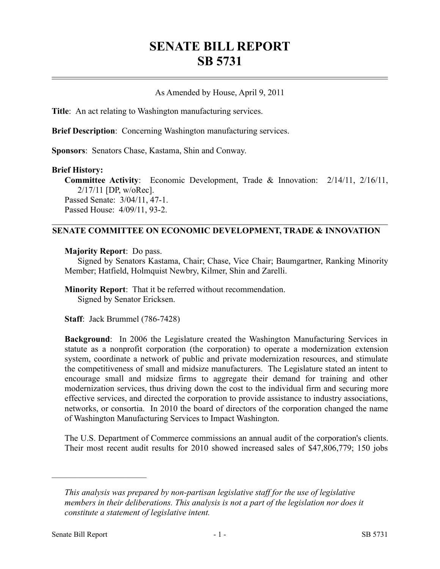# **SENATE BILL REPORT SB 5731**

## As Amended by House, April 9, 2011

**Title**: An act relating to Washington manufacturing services.

**Brief Description**: Concerning Washington manufacturing services.

**Sponsors**: Senators Chase, Kastama, Shin and Conway.

#### **Brief History:**

**Committee Activity**: Economic Development, Trade & Innovation: 2/14/11, 2/16/11, 2/17/11 [DP, w/oRec]. Passed Senate: 3/04/11, 47-1. Passed House: 4/09/11, 93-2.

### **SENATE COMMITTEE ON ECONOMIC DEVELOPMENT, TRADE & INNOVATION**

**Majority Report**: Do pass.

Signed by Senators Kastama, Chair; Chase, Vice Chair; Baumgartner, Ranking Minority Member; Hatfield, Holmquist Newbry, Kilmer, Shin and Zarelli.

**Minority Report**: That it be referred without recommendation. Signed by Senator Ericksen.

**Staff**: Jack Brummel (786-7428)

**Background**: In 2006 the Legislature created the Washington Manufacturing Services in statute as a nonprofit corporation (the corporation) to operate a modernization extension system, coordinate a network of public and private modernization resources, and stimulate the competitiveness of small and midsize manufacturers. The Legislature stated an intent to encourage small and midsize firms to aggregate their demand for training and other modernization services, thus driving down the cost to the individual firm and securing more effective services, and directed the corporation to provide assistance to industry associations, networks, or consortia. In 2010 the board of directors of the corporation changed the name of Washington Manufacturing Services to Impact Washington.

The U.S. Department of Commerce commissions an annual audit of the corporation's clients. Their most recent audit results for 2010 showed increased sales of \$47,806,779; 150 jobs

––––––––––––––––––––––

*This analysis was prepared by non-partisan legislative staff for the use of legislative members in their deliberations. This analysis is not a part of the legislation nor does it constitute a statement of legislative intent.*